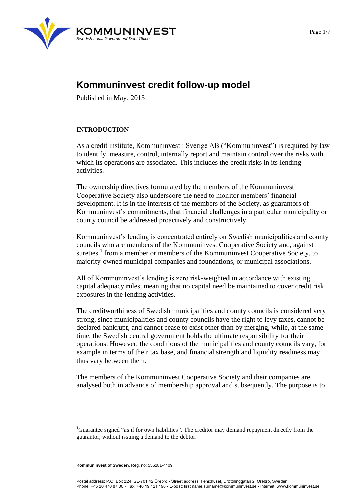

# **Kommuninvest credit follow-up model**

Published in May, 2013

### **INTRODUCTION**

As a credit institute, Kommuninvest i Sverige AB ("Kommuninvest") is required by law to identify, measure, control, internally report and maintain control over the risks with which its operations are associated. This includes the credit risks in its lending activities.

The ownership directives formulated by the members of the Kommuninvest Cooperative Society also underscore the need to monitor members' financial development. It is in the interests of the members of the Society, as guarantors of Kommuninvest's commitments, that financial challenges in a particular municipality or county council be addressed proactively and constructively.

Kommuninvest's lending is concentrated entirely on Swedish municipalities and county councils who are members of the Kommuninvest Cooperative Society and, against sureties  $1$  from a member or members of the Kommuninvest Cooperative Society, to majority-owned municipal companies and foundations, or municipal associations.

All of Kommuninvest's lending is zero risk-weighted in accordance with existing capital adequacy rules, meaning that no capital need be maintained to cover credit risk exposures in the lending activities.

The creditworthiness of Swedish municipalities and county councils is considered very strong, since municipalities and county councils have the right to levy taxes, cannot be declared bankrupt, and cannot cease to exist other than by merging, while, at the same time, the Swedish central government holds the ultimate responsibility for their operations. However, the conditions of the municipalities and county councils vary, for example in terms of their tax base, and financial strength and liquidity readiness may thus vary between them.

The members of the Kommuninvest Cooperative Society and their companies are analysed both in advance of membership approval and subsequently. The purpose is to

**Kommuninvest of Sweden.** Reg. no: 556281-4409.

<sup>&</sup>lt;sup>1</sup>Guarantee signed "as if for own liabilities". The creditor may demand repayment directly from the guarantor, without issuing a demand to the debtor.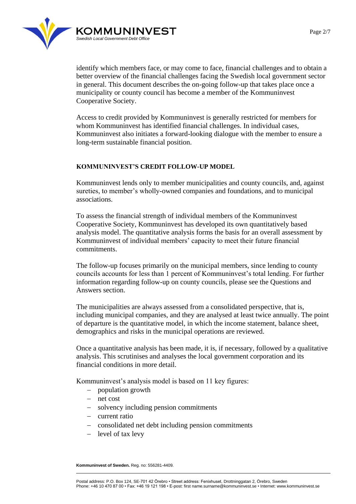

identify which members face, or may come to face, financial challenges and to obtain a better overview of the financial challenges facing the Swedish local government sector in general. This document describes the on-going follow-up that takes place once a municipality or county council has become a member of the Kommuninvest Cooperative Society.

Access to credit provided by Kommuninvest is generally restricted for members for whom Kommuninvest has identified financial challenges. In individual cases, Kommuninvest also initiates a forward-looking dialogue with the member to ensure a long-term sustainable financial position.

### **KOMMUNINVEST'S CREDIT FOLLOW-UP MODEL**

Kommuninvest lends only to member municipalities and county councils, and, against sureties, to member's wholly-owned companies and foundations, and to municipal associations.

To assess the financial strength of individual members of the Kommuninvest Cooperative Society, Kommuninvest has developed its own quantitatively based analysis model. The quantitative analysis forms the basis for an overall assessment by Kommuninvest of individual members' capacity to meet their future financial commitments.

The follow-up focuses primarily on the municipal members, since lending to county councils accounts for less than 1 percent of Kommuninvest's total lending. For further information regarding follow-up on county councils, please see the Questions and Answers section.

The municipalities are always assessed from a consolidated perspective, that is, including municipal companies, and they are analysed at least twice annually. The point of departure is the quantitative model, in which the income statement, balance sheet, demographics and risks in the municipal operations are reviewed.

Once a quantitative analysis has been made, it is, if necessary, followed by a qualitative analysis. This scrutinises and analyses the local government corporation and its financial conditions in more detail.

Kommuninvest's analysis model is based on 11 key figures:

- population growth
- net cost
- solvency including pension commitments
- $-$  current ratio
- consolidated net debt including pension commitments
- level of tax levy

**Kommuninvest of Sweden.** Reg. no: 556281-4409.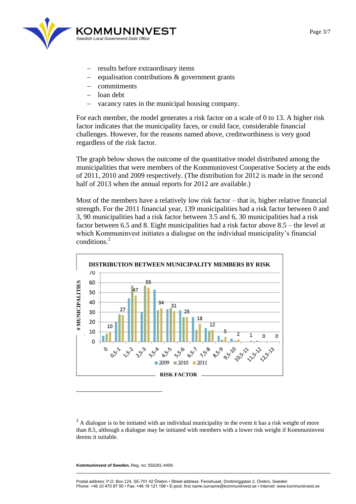

- results before extraordinary items
- equalisation contributions & government grants
- commitments
- loan debt
- vacancy rates in the municipal housing company.

For each member, the model generates a risk factor on a scale of 0 to 13. A higher risk factor indicates that the municipality faces, or could face, considerable financial challenges. However, for the reasons named above, creditworthiness is very good regardless of the risk factor.

The graph below shows the outcome of the quantitative model distributed among the municipalities that were members of the Kommuninvest Cooperative Society at the ends of 2011, 2010 and 2009 respectively. (The distribution for 2012 is made in the second half of 2013 when the annual reports for 2012 are available.)

Most of the members have a relatively low risk factor – that is, higher relative financial strength. For the 2011 financial year, 139 municipalities had a risk factor between 0 and 3, 90 municipalities had a risk factor between 3.5 and 6, 30 municipalities had a risk factor between 6.5 and 8. Eight municipalities had a risk factor above 8.5 – the level at which Kommuninvest initiates a dialogue on the individual municipality's financial conditions.<sup>2</sup>



<sup>2</sup> A dialogue is to be initiated with an individual municipality in the event it has a risk weight of more than 8.5, although a dialogue may be initiated with members with a lower risk weight if Kommuninvest deems it suitable.

**Kommuninvest of Sweden.** Reg. no: 556281-4409.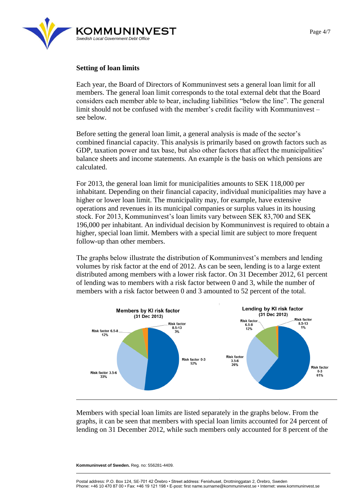

#### **Setting of loan limits**

Each year, the Board of Directors of Kommuninvest sets a general loan limit for all members. The general loan limit corresponds to the total external debt that the Board considers each member able to bear, including liabilities "below the line". The general limit should not be confused with the member's credit facility with Kommuninvest – see below.

Before setting the general loan limit, a general analysis is made of the sector's combined financial capacity. This analysis is primarily based on growth factors such as GDP, taxation power and tax base, but also other factors that affect the municipalities' balance sheets and income statements. An example is the basis on which pensions are calculated.

For 2013, the general loan limit for municipalities amounts to SEK 118,000 per inhabitant. Depending on their financial capacity, individual municipalities may have a higher or lower loan limit. The municipality may, for example, have extensive operations and revenues in its municipal companies or surplus values in its housing stock. For 2013, Kommuninvest's loan limits vary between SEK 83,700 and SEK 196,000 per inhabitant. An individual decision by Kommuninvest is required to obtain a higher, special loan limit. Members with a special limit are subject to more frequent follow-up than other members.

The graphs below illustrate the distribution of Kommuninvest's members and lending volumes by risk factor at the end of 2012. As can be seen, lending is to a large extent distributed among members with a lower risk factor. On 31 December 2012, 61 percent of lending was to members with a risk factor between 0 and 3, while the number of members with a risk factor between 0 and 3 amounted to 52 percent of the total.



Members with special loan limits are listed separately in the graphs below. From the graphs, it can be seen that members with special loan limits accounted for 24 percent of lending on 31 December 2012, while such members only accounted for 8 percent of the

**Kommuninvest of Sweden.** Reg. no: 556281-4409.

Page 4/7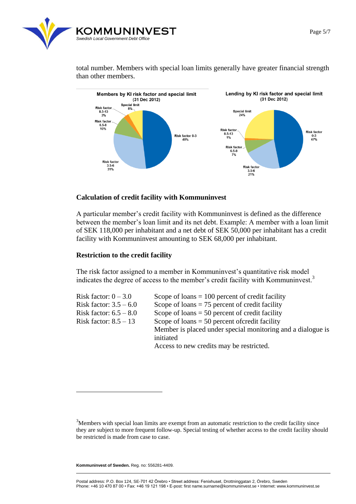

total number. Members with special loan limits generally have greater financial strength than other members.



### **Calculation of credit facility with Kommuninvest**

A particular member's credit facility with Kommuninvest is defined as the difference between the member's loan limit and its net debt. Example: A member with a loan limit of SEK 118,000 per inhabitant and a net debt of SEK 50,000 per inhabitant has a credit facility with Kommuninvest amounting to SEK 68,000 per inhabitant.

### **Restriction to the credit facility**

The risk factor assigned to a member in Kommuninvest's quantitative risk model indicates the degree of access to the member's credit facility with Kommuninvest.<sup>3</sup>

| Risk factor: $0 - 3.0$   | Scope of loans $= 100$ percent of credit facility           |
|--------------------------|-------------------------------------------------------------|
| Risk factor: $3.5 - 6.0$ | Scope of loans $= 75$ percent of credit facility            |
| Risk factor: $6.5 - 8.0$ | Scope of loans $= 50$ percent of credit facility            |
| Risk factor: $8.5 - 13$  | Scope of loans $=$ 50 percent of credit facility            |
|                          | Member is placed under special monitoring and a dialogue is |
|                          | initiated                                                   |
|                          | Access to new credits may be restricted.                    |
|                          |                                                             |

**Kommuninvest of Sweden.** Reg. no: 556281-4409.

<sup>&</sup>lt;sup>3</sup>Members with special loan limits are exempt from an automatic restriction to the credit facility since they are subject to more frequent follow-up. Special testing of whether access to the credit facility should be restricted is made from case to case.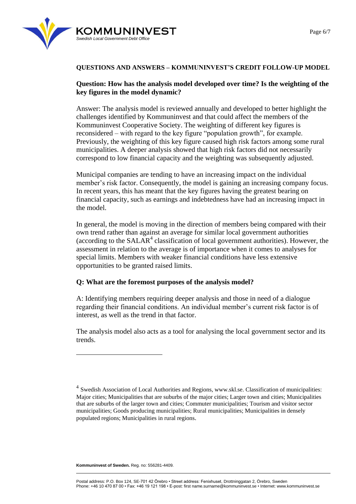

## **QUESTIONS AND ANSWERS – KOMMUNINVEST'S CREDIT FOLLOW-UP MODEL**

## **Question: How has the analysis model developed over time? Is the weighting of the key figures in the model dynamic?**

Answer: The analysis model is reviewed annually and developed to better highlight the challenges identified by Kommuninvest and that could affect the members of the Kommuninvest Cooperative Society. The weighting of different key figures is reconsidered – with regard to the key figure "population growth", for example. Previously, the weighting of this key figure caused high risk factors among some rural municipalities. A deeper analysis showed that high risk factors did not necessarily correspond to low financial capacity and the weighting was subsequently adjusted.

Municipal companies are tending to have an increasing impact on the individual member's risk factor. Consequently, the model is gaining an increasing company focus. In recent years, this has meant that the key figures having the greatest bearing on financial capacity, such as earnings and indebtedness have had an increasing impact in the model.

In general, the model is moving in the direction of members being compared with their own trend rather than against an average for similar local government authorities (according to the  $SALAR<sup>4</sup>$  classification of local government authorities). However, the assessment in relation to the average is of importance when it comes to analyses for special limits. Members with weaker financial conditions have less extensive opportunities to be granted raised limits.

## **Q: What are the foremost purposes of the analysis model?**

A: Identifying members requiring deeper analysis and those in need of a dialogue regarding their financial conditions. An individual member's current risk factor is of interest, as well as the trend in that factor.

The analysis model also acts as a tool for analysing the local government sector and its trends.

**Kommuninvest of Sweden.** Reg. no: 556281-4409.

<sup>&</sup>lt;sup>4</sup> Swedish Association of Local Authorities and Regions, www.skl.se. Classification of municipalities: Major cities; Municipalities that are suburbs of the major cities; Larger town and cities; Municipalities that are suburbs of the larger town and cities; Commuter municipalities; Tourism and visitor sector municipalities; Goods producing municipalities; Rural municipalities; Municipalities in densely populated regions; Municipalities in rural regions.